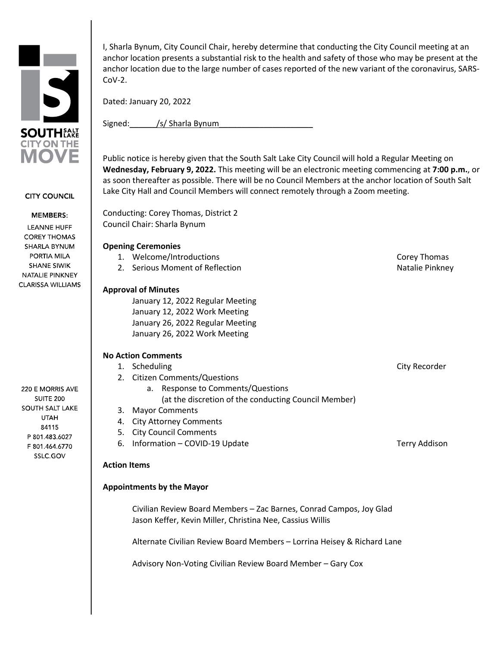

**CITY COUNCIL** 

#### **MEMBERS:**

LEANNE HUFF **COREY THOMAS** SHARLA BYNUM PORTIA MILA **SHANE SIWIK** NATALIE PINKNEY **CLARISSA WILLIAMS** 

220 E MORRIS AVE **SUITE 200** SOUTH SALT LAKE **UTAH** 84115 P 801.483.6027 F 801.464.6770 SSLC.GOV

I, Sharla Bynum, City Council Chair, hereby determine that conducting the City Council meeting at an anchor location presents a substantial risk to the health and safety of those who may be present at the anchor location due to the large number of cases reported of the new variant of the coronavirus, SARS- $Cov-2$ .

Dated: January 20, 2022

Signed: /s/ Sharla Bynum

Public notice is hereby given that the South Salt Lake City Council will hold a Regular Meeting on **Wednesday, February 9, 2022.** This meeting will be an electronic meeting commencing at **7:00 p.m.**, or as soon thereafter as possible. There will be no Council Members at the anchor location of South Salt Lake City Hall and Council Members will connect remotely through a Zoom meeting.

Conducting: Corey Thomas, District 2 Council Chair: Sharla Bynum

# **Opening Ceremonies**

- 1. Welcome/Introductions **Corey Thomas** Corey Thomas
- 2. Serious Moment of Reflection Natalie Pinkney

# **Approval of Minutes**

January 12, 2022 Regular Meeting January 12, 2022 Work Meeting January 26, 2022 Regular Meeting January 26, 2022 Work Meeting

# **No Action Comments**

- 1. Scheduling City Recorder City Recorder
- 2. Citizen Comments/Questions
	- a. Response to Comments/Questions (at the discretion of the conducting Council Member)
- 3. Mayor Comments
- 4. City Attorney Comments
- 5. City Council Comments
- 6. Information COVID-19 Update Terry Addison

### **Action Items**

### **Appointments by the Mayor**

Civilian Review Board Members – Zac Barnes, Conrad Campos, Joy Glad Jason Keffer, Kevin Miller, Christina Nee, Cassius Willis

Alternate Civilian Review Board Members – Lorrina Heisey & Richard Lane

Advisory Non-Voting Civilian Review Board Member – Gary Cox